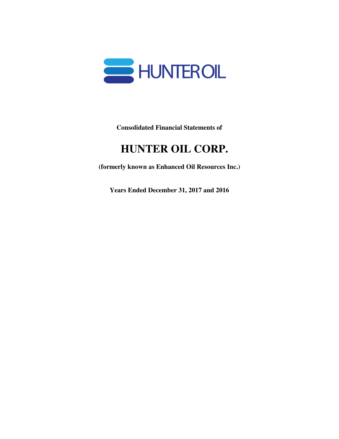

**Consolidated Financial Statements of** 

# **HUNTER OIL CORP.**

**(formerly known as Enhanced Oil Resources Inc.)** 

**Years Ended December 31, 2017 and 2016**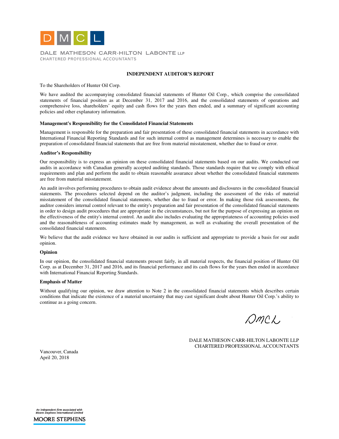

DALE MATHESON CARR-HILTON LABONTE LLP CHARTERED PROFESSIONAL ACCOUNTANTS

#### **INDEPENDENT AUDITOR'S REPORT**

#### To the Shareholders of Hunter Oil Corp.

We have audited the accompanying consolidated financial statements of Hunter Oil Corp., which comprise the consolidated statements of financial position as at December 31, 2017 and 2016, and the consolidated statements of operations and comprehensive loss, shareholders' equity and cash flows for the years then ended, and a summary of significant accounting policies and other explanatory information.

#### **Management's Responsibility for the Consolidated Financial Statements**

Management is responsible for the preparation and fair presentation of these consolidated financial statements in accordance with International Financial Reporting Standards and for such internal control as management determines is necessary to enable the preparation of consolidated financial statements that are free from material misstatement, whether due to fraud or error.

#### **Auditor's Responsibility**

Our responsibility is to express an opinion on these consolidated financial statements based on our audits. We conducted our audits in accordance with Canadian generally accepted auditing standards. Those standards require that we comply with ethical requirements and plan and perform the audit to obtain reasonable assurance about whether the consolidated financial statements are free from material misstatement.

An audit involves performing procedures to obtain audit evidence about the amounts and disclosures in the consolidated financial statements. The procedures selected depend on the auditor's judgment, including the assessment of the risks of material misstatement of the consolidated financial statements, whether due to fraud or error. In making those risk assessments, the auditor considers internal control relevant to the entity's preparation and fair presentation of the consolidated financial statements in order to design audit procedures that are appropriate in the circumstances, but not for the purpose of expressing an opinion on the effectiveness of the entity's internal control. An audit also includes evaluating the appropriateness of accounting policies used and the reasonableness of accounting estimates made by management, as well as evaluating the overall presentation of the consolidated financial statements.

We believe that the audit evidence we have obtained in our audits is sufficient and appropriate to provide a basis for our audit opinion.

#### **Opinion**

In our opinion, the consolidated financial statements present fairly, in all material respects, the financial position of Hunter Oil Corp. as at December 31, 2017 and 2016, and its financial performance and its cash flows for the years then ended in accordance with International Financial Reporting Standards.

#### **Emphasis of Matter**

Without qualifying our opinion, we draw attention to Note 2 in the consolidated financial statements which describes certain conditions that indicate the existence of a material uncertainty that may cast significant doubt about Hunter Oil Corp.'s ability to continue as a going concern.

DMCL,

DALE MATHESON CARR-HILTON LABONTE LLP CHARTERED PROFESSIONAL ACCOUNTANTS

Vancouver, Canada April 20, 2018

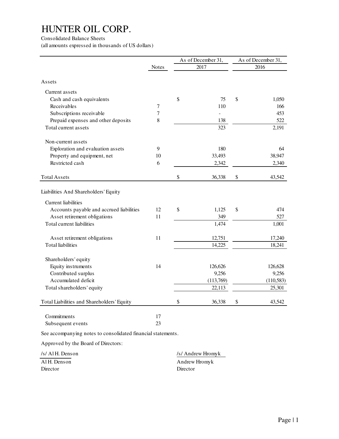Consolidated Balance Sheets (all amounts expressed in thousands of US dollars)

|                                                              | As of December 31, |    | As of December 31, |    |            |
|--------------------------------------------------------------|--------------------|----|--------------------|----|------------|
|                                                              | Notes              |    | 2017               |    | 2016       |
| Assets                                                       |                    |    |                    |    |            |
| Current assets                                               |                    |    |                    |    |            |
| Cash and cash equivalents                                    |                    | \$ | 75                 | \$ | 1,050      |
| Receivables                                                  | 7                  |    | 110                |    | 166        |
| Subscriptions receivable                                     | 7                  |    |                    |    | 453        |
| Prepaid expenses and other deposits                          | 8                  |    | 138                |    | 522        |
| Total current assets                                         |                    |    | 323                |    | 2,191      |
| Non-current assets                                           |                    |    |                    |    |            |
| Exploration and evaluation assets                            | 9                  |    | 180                |    | 64         |
| Property and equipment, net                                  | 10                 |    | 33,493             |    | 38,947     |
| Restricted cash                                              | 6                  |    | 2,342              |    | 2,340      |
| <b>Total Assets</b>                                          |                    | \$ | 36,338             | \$ | 43,542     |
| Liabilities And Shareholders' Equity                         |                    |    |                    |    |            |
| <b>Current</b> liabilities                                   |                    |    |                    |    |            |
| Accounts payable and accrued liabilities                     | 12                 | \$ | 1,125              | \$ | 474        |
| Asset retirement obligations                                 | 11                 |    | 349                |    | 527        |
| Total current liabilities                                    |                    |    | 1,474              |    | 1,001      |
| Asset retirement obligations                                 | 11                 |    | 12,751             |    | 17,240     |
| <b>Total</b> liabilities                                     |                    |    | 14,225             |    | 18,241     |
| Shareholders' equity                                         |                    |    |                    |    |            |
| Equity instruments                                           | 14                 |    | 126,626            |    | 126,628    |
| Contributed surplus                                          |                    |    | 9,256              |    | 9,256      |
| Accumulated deficit                                          |                    |    | (113,769)          |    | (110, 583) |
| Total shareholders' equity                                   |                    |    | 22,113             |    | 25,301     |
| Total Liabilities and Shareholders' Equity                   |                    |    | 36,338             | \$ | 43,542     |
| Commitments                                                  | 17                 |    |                    |    |            |
| Subsequent events                                            | 23                 |    |                    |    |            |
| See accompanying notes to consolidated financial statements. |                    |    |                    |    |            |
| Approved by the Board of Directors:                          |                    |    |                    |    |            |
| /s/ Al H. Denson                                             |                    |    | /s/ Andrew Hromyk  |    |            |
| Al H. Denson                                                 |                    |    | Andrew Hromyk      |    |            |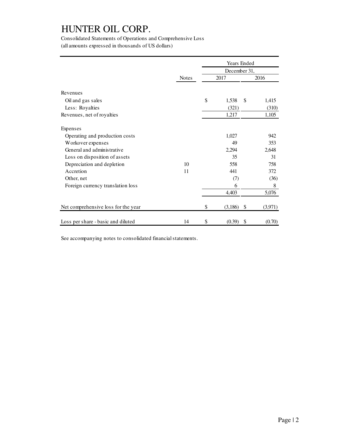Consolidated Statements of Operations and Comprehensive Loss (all amounts expressed in thousands of US dollars)

|                                     |              | Years Ended   |    |         |  |  |  |  |
|-------------------------------------|--------------|---------------|----|---------|--|--|--|--|
|                                     |              | December 31,  |    |         |  |  |  |  |
|                                     | <b>Notes</b> | 2017          |    | 2016    |  |  |  |  |
|                                     |              |               |    |         |  |  |  |  |
| Revenues                            |              |               |    |         |  |  |  |  |
| Oil and gas sales                   |              | \$<br>1,538   | \$ | 1,415   |  |  |  |  |
| Less: Royalties                     |              | (321)         |    | (310)   |  |  |  |  |
| Revenues, net of royalties          |              | 1,217         |    | 1,105   |  |  |  |  |
| Expenses                            |              |               |    |         |  |  |  |  |
| Operating and production costs      |              | 1,027         |    | 942     |  |  |  |  |
| Workover expenses                   |              | 49            |    | 353     |  |  |  |  |
| General and administrative          |              | 2,294         |    | 2,648   |  |  |  |  |
| Loss on disposition of assets       |              | 35            |    | 31      |  |  |  |  |
| Depreciation and depletion          | 10           | 558           |    | 758     |  |  |  |  |
| Accretion                           | 11           | 441           |    | 372     |  |  |  |  |
| Other, net                          |              | (7)           |    | (36)    |  |  |  |  |
| Foreign currency translation loss   |              | 6             |    | 8       |  |  |  |  |
|                                     |              | 4,403         |    | 5,076   |  |  |  |  |
| Net comprehensive loss for the year |              | \$<br>(3,186) | \$ | (3,971) |  |  |  |  |
| Loss per share - basic and diluted  | 14           | \$<br>(0.39)  | \$ | (0.70)  |  |  |  |  |

See accompanying notes to consolidated financial statements.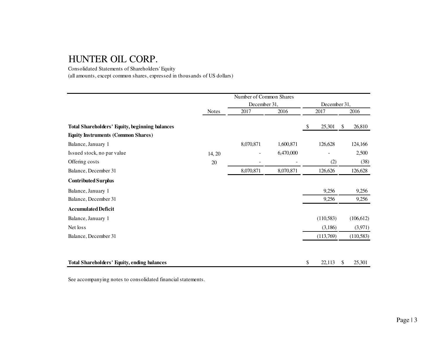Consolidated Statements of Shareholders' Equity

(all amounts, except common shares, expressed in thousands of US dollars)

|                                                       |              | Number of Common Shares |           |     |              |              |
|-------------------------------------------------------|--------------|-------------------------|-----------|-----|--------------|--------------|
|                                                       |              | December 31,            |           |     | December 31, |              |
|                                                       | <b>Notes</b> | 2017                    | 2016      |     | 2017         | 2016         |
| <b>Total Shareholders' Equity, beginning balances</b> |              |                         |           | \$. | 25,301       | \$<br>26,810 |
| <b>Equity Instruments (Common Shares)</b>             |              |                         |           |     |              |              |
| Balance, January 1                                    |              | 8,070,871               | 1,600,871 |     | 126,628      | 124,166      |
| Issued stock, no par value                            | 14, 20       |                         | 6,470,000 |     |              | 2,500        |
| Offering costs                                        | 20           |                         |           |     | (2)          | (38)         |
| Balance, December 31                                  |              | 8,070,871               | 8,070,871 |     | 126,626      | 126,628      |
| <b>Contributed Surplus</b>                            |              |                         |           |     |              |              |
| Balance, January 1                                    |              |                         |           |     | 9,256        | 9,256        |
| Balance, December 31                                  |              |                         |           |     | 9,256        | 9,256        |
| <b>Accumulated Deficit</b>                            |              |                         |           |     |              |              |
| Balance, January 1                                    |              |                         |           |     | (110, 583)   | (106, 612)   |
| Net loss                                              |              |                         |           |     | (3,186)      | (3,971)      |
| Balance, December 31                                  |              |                         |           |     | (113,769)    | (110,583)    |
|                                                       |              |                         |           |     |              |              |
|                                                       |              |                         |           |     |              |              |
| <b>Total Shareholders' Equity, ending balances</b>    |              |                         |           | \$  | 22,113       | \$<br>25,301 |

See accompanying notes to consolidated financial statements.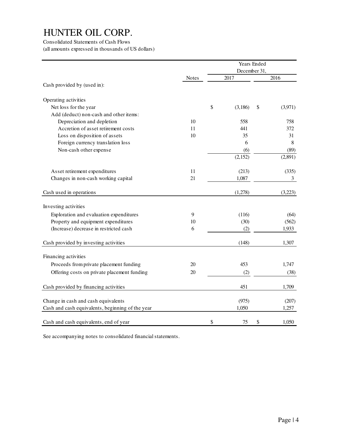Consolidated Statements of Cash Flows (all amounts expressed in thousands of US dollars)

|                                                  |              | Years Ended<br>December 31, |    |                |  |
|--------------------------------------------------|--------------|-----------------------------|----|----------------|--|
|                                                  | <b>Notes</b> | 2017                        |    | 2016           |  |
| Cash provided by (used in):                      |              |                             |    |                |  |
| Operating activities                             |              |                             |    |                |  |
| Net loss for the year                            |              | \$<br>(3,186)               | \$ | (3,971)        |  |
| Add (deduct) non-cash and other items:           |              |                             |    |                |  |
| Depreciation and depletion                       | 10           | 558                         |    | 758            |  |
| Accretion of asset retirement costs              | 11           | 441                         |    | 372            |  |
| Loss on disposition of assets                    | 10           | 35                          |    | 31             |  |
| Foreign currency translation loss                |              | 6                           |    | $8\,$          |  |
| Non-cash other expense                           |              | (6)                         |    | (89)           |  |
|                                                  |              | (2,152)                     |    | (2,891)        |  |
| Asset retirement expenditures                    | 11           | (213)                       |    | (335)          |  |
| Changes in non-cash working capital              | 21           | 1,087                       |    | $\mathfrak{Z}$ |  |
| Cash used in operations                          |              | (1,278)                     |    | (3,223)        |  |
| Investing activities                             |              |                             |    |                |  |
| Exploration and evaluation expenditures          | 9            | (116)                       |    | (64)           |  |
| Property and equipment expenditures              | 10           | (30)                        |    | (562)          |  |
| (Increase) decrease in restricted cash           | 6            | (2)                         |    | 1,933          |  |
| Cash provided by investing activities            |              | (148)                       |    | 1,307          |  |
| Financing activities                             |              |                             |    |                |  |
| Proceeds from private placement funding          | 20           | 453                         |    | 1,747          |  |
| Offering costs on private placement funding      | 20           | (2)                         |    | (38)           |  |
| Cash provided by financing activities            |              | 451                         |    | 1,709          |  |
| Change in cash and cash equivalents              |              | (975)                       |    | (207)          |  |
| Cash and cash equivalents, beginning of the year |              | 1,050                       |    | 1,257          |  |
| Cash and cash equivalents, end of year           |              | \$<br>75                    | \$ | 1,050          |  |

See accompanying notes to consolidated financial statements.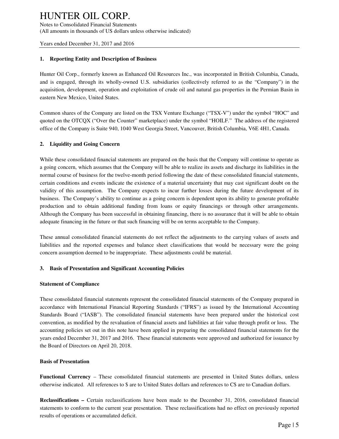Notes to Consolidated Financial Statements (All amounts in thousands of US dollars unless otherwise indicated)

Years ended December 31, 2017 and 2016

#### **1. Reporting Entity and Description of Business**

Hunter Oil Corp., formerly known as Enhanced Oil Resources Inc., was incorporated in British Columbia, Canada, and is engaged, through its wholly-owned U.S. subsidiaries (collectively referred to as the "Company") in the acquisition, development, operation and exploitation of crude oil and natural gas properties in the Permian Basin in eastern New Mexico, United States.

Common shares of the Company are listed on the TSX Venture Exchange ("TSX-V") under the symbol "HOC" and quoted on the OTCQX ("Over the Counter" marketplace) under the symbol "HOILF." The address of the registered office of the Company is Suite 940, 1040 West Georgia Street, Vancouver, British Columbia, V6E 4H1, Canada.

#### **2. Liquidity and Going Concern**

While these consolidated financial statements are prepared on the basis that the Company will continue to operate as a going concern, which assumes that the Company will be able to realize its assets and discharge its liabilities in the normal course of business for the twelve-month period following the date of these consolidated financial statements, certain conditions and events indicate the existence of a material uncertainty that may cast significant doubt on the validity of this assumption. The Company expects to incur further losses during the future development of its business. The Company's ability to continue as a going concern is dependent upon its ability to generate profitable production and to obtain additional funding from loans or equity financings or through other arrangements. Although the Company has been successful in obtaining financing, there is no assurance that it will be able to obtain adequate financing in the future or that such financing will be on terms acceptable to the Company.

These annual consolidated financial statements do not reflect the adjustments to the carrying values of assets and liabilities and the reported expenses and balance sheet classifications that would be necessary were the going concern assumption deemed to be inappropriate. These adjustments could be material.

#### **3. Basis of Presentation and Significant Accounting Policies**

#### **Statement of Compliance**

These consolidated financial statements represent the consolidated financial statements of the Company prepared in accordance with International Financial Reporting Standards ("IFRS") as issued by the International Accounting Standards Board ("IASB"). The consolidated financial statements have been prepared under the historical cost convention, as modified by the revaluation of financial assets and liabilities at fair value through profit or loss. The accounting policies set out in this note have been applied in preparing the consolidated financial statements for the years ended December 31, 2017 and 2016. These financial statements were approved and authorized for issuance by the Board of Directors on April 20, 2018.

#### **Basis of Presentation**

**Functional Currency** – These consolidated financial statements are presented in United States dollars, unless otherwise indicated. All references to \$ are to United States dollars and references to C\$ are to Canadian dollars.

**Reclassifications –** Certain reclassifications have been made to the December 31, 2016, consolidated financial statements to conform to the current year presentation. These reclassifications had no effect on previously reported results of operations or accumulated deficit.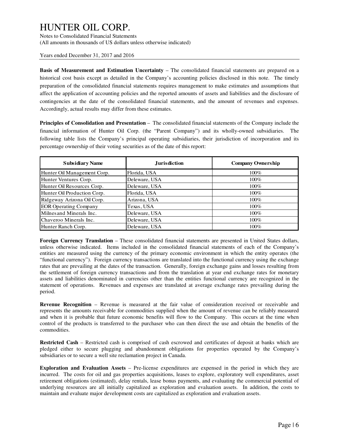Notes to Consolidated Financial Statements (All amounts in thousands of US dollars unless otherwise indicated)

Years ended December 31, 2017 and 2016

**Basis of Measurement and Estimation Uncertainty** – The consolidated financial statements are prepared on a historical cost basis except as detailed in the Company's accounting policies disclosed in this note. The timely preparation of the consolidated financial statements requires management to make estimates and assumptions that affect the application of accounting policies and the reported amounts of assets and liabilities and the disclosure of contingencies at the date of the consolidated financial statements, and the amount of revenues and expenses. Accordingly, actual results may differ from these estimates.

**Principles of Consolidation and Presentation** – The consolidated financial statements of the Company include the financial information of Hunter Oil Corp. (the "Parent Company") and its wholly-owned subsidiaries. The following table lists the Company's principal operating subsidiaries, their jurisdiction of incorporation and its percentage ownership of their voting securities as of the date of this report:

| <b>Subsidiary Name</b>       | <b>Jurisdiction</b> | <b>Company Ownership</b> |
|------------------------------|---------------------|--------------------------|
| Hunter Oil Management Corp.  | Florida, USA        | 100%                     |
| Hunter Ventures Corp.        | Deleware, USA       | $100\%$                  |
| Hunter Oil Resources Corp.   | Deleware, USA       | $100\%$                  |
| Hunter Oil Production Corp.  | Florida, USA        | $100\%$                  |
| Ridgeway Arizona Oil Corp.   | Arizona, USA        | $100\%$                  |
| <b>EOR Operating Company</b> | Texas, USA          | $100\%$                  |
| Milnes and Minerals Inc.     | Deleware, USA       | $100\%$                  |
| Chaveroo Minerals Inc.       | Deleware, USA       | $100\%$                  |
| Hunter Ranch Corp.           | Deleware, USA       | 100%                     |

**Foreign Currency Translation** – These consolidated financial statements are presented in United States dollars, unless otherwise indicated. Items included in the consolidated financial statements of each of the Company's entities are measured using the currency of the primary economic environment in which the entity operates (the "functional currency"). Foreign currency transactions are translated into the functional currency using the exchange rates that are prevailing at the dates of the transaction. Generally, foreign exchange gains and losses resulting from the settlement of foreign currency transactions and from the translation at year end exchange rates for monetary assets and liabilities denominated in currencies other than the entities functional currency are recognized in the statement of operations. Revenues and expenses are translated at average exchange rates prevailing during the period.

**Revenue Recognition** – Revenue is measured at the fair value of consideration received or receivable and represents the amounts receivable for commodities supplied when the amount of revenue can be reliably measured and when it is probable that future economic benefits will flow to the Company. This occurs at the time when control of the products is transferred to the purchaser who can then direct the use and obtain the benefits of the commodities.

**Restricted Cash** – Restricted cash is comprised of cash escrowed and certificates of deposit at banks which are pledged either to secure plugging and abandonment obligations for properties operated by the Company's subsidiaries or to secure a well site reclamation project in Canada.

**Exploration and Evaluation Assets** – Pre-license expenditures are expensed in the period in which they are incurred. The costs for oil and gas properties acquisitions, leases to explore, exploratory well expenditures, asset retirement obligations (estimated), delay rentals, lease bonus payments, and evaluating the commercial potential of underlying resources are all initially capitalized as exploration and evaluation assets. In addition, the costs to maintain and evaluate major development costs are capitalized as exploration and evaluation assets.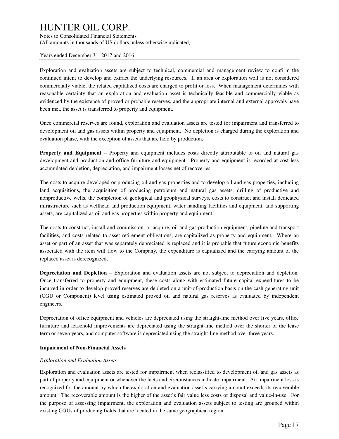Notes to Consolidated Financial Statements (All amounts in thousands of US dollars unless otherwise indicated)

Years ended December 31, 2017 and 2016

Exploration and evaluation assets are subject to technical, commercial and management review to confirm the continued intent to develop and extract the underlying resources. If an area or exploration well is not considered commercially viable, the related capitalized costs are charged to profit or loss. When management determines with reasonable certainty that an exploration and evaluation asset is technically feasible and commercially viable as evidenced by the existence of proved or probable reserves, and the appropriate internal and external approvals have been met, the asset is transferred to property and equipment.

Once commercial reserves are found, exploration and evaluation assets are tested for impairment and transferred to development oil and gas assets within property and equipment. No depletion is charged during the exploration and evaluation phase, with the exception of assets that are held by production.

**Property and Equipment** – Property and equipment includes costs directly attributable to oil and natural gas development and production and office furniture and equipment. Property and equipment is recorded at cost less accumulated depletion, depreciation, and impairment losses net of recoveries.

The costs to acquire developed or producing oil and gas properties and to develop oil and gas properties, including land acquisitions, the acquisition of producing petroleum and natural gas assets, drilling of productive and nonproductive wells, the completion of geological and geophysical surveys, costs to construct and install dedicated infrastructure such as wellhead and production equipment, water handling facilities and equipment, and supporting assets, are capitalized as oil and gas properties within property and equipment.

The costs to construct, install and commission, or acquire, oil and gas production equipment, pipeline and transport facilities, and costs related to asset retirement obligations, are capitalized as property and equipment. Where an asset or part of an asset that was separately depreciated is replaced and it is probable that future economic benefits associated with the item will flow to the Company, the expenditure is capitalized and the carrying amount of the replaced asset is derecognized.

**Depreciation and Depletion** – Exploration and evaluation assets are not subject to depreciation and depletion. Once transferred to property and equipment, these costs along with estimated future capital expenditures to be incurred in order to develop proved reserves are depleted on a unit-of-production basis on the cash generating unit (CGU or Component) level using estimated proved oil and natural gas reserves as evaluated by independent engineers.

Depreciation of office equipment and vehicles are depreciated using the straight-line method over five years, office furniture and leasehold improvements are depreciated using the straight-line method over the shorter of the lease term or seven years, and computer software is depreciated using the straight-line method over three years.

#### **Impairment of Non-Financial Assets**

#### *Exploration and Evaluation Assets*

Exploration and evaluation assets are tested for impairment when reclassified to development oil and gas assets as part of property and equipment or whenever the facts and circumstances indicate impairment. An impairment loss is recognized for the amount by which the exploration and evaluation asset's carrying amount exceeds its recoverable amount. The recoverable amount is the higher of the asset's fair value less costs of disposal and value-in-use. For the purpose of assessing impairment, the exploration and evaluation assets subject to testing are grouped within existing CGUs of producing fields that are located in the same geographical region.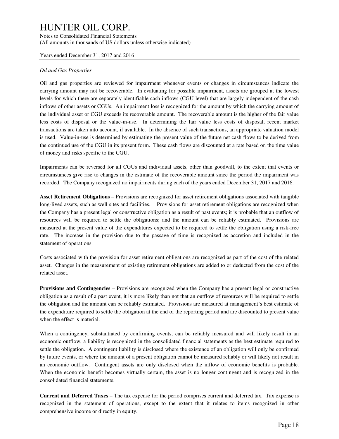Notes to Consolidated Financial Statements (All amounts in thousands of US dollars unless otherwise indicated)

#### Years ended December 31, 2017 and 2016

### *Oil and Gas Properties*

Oil and gas properties are reviewed for impairment whenever events or changes in circumstances indicate the carrying amount may not be recoverable. In evaluating for possible impairment, assets are grouped at the lowest levels for which there are separately identifiable cash inflows (CGU level) that are largely independent of the cash inflows of other assets or CGUs. An impairment loss is recognized for the amount by which the carrying amount of the individual asset or CGU exceeds its recoverable amount. The recoverable amount is the higher of the fair value less costs of disposal or the value-in-use. In determining the fair value less costs of disposal, recent market transactions are taken into account, if available. In the absence of such transactions, an appropriate valuation model is used. Value-in-use is determined by estimating the present value of the future net cash flows to be derived from the continued use of the CGU in its present form. These cash flows are discounted at a rate based on the time value of money and risks specific to the CGU.

Impairments can be reversed for all CGUs and individual assets, other than goodwill, to the extent that events or circumstances give rise to changes in the estimate of the recoverable amount since the period the impairment was recorded. The Company recognized no impairments during each of the years ended December 31, 2017 and 2016.

**Asset Retirement Obligations** – Provisions are recognized for asset retirement obligations associated with tangible long-lived assets, such as well sites and facilities. Provisions for asset retirement obligations are recognized when the Company has a present legal or constructive obligation as a result of past events; it is probable that an outflow of resources will be required to settle the obligations; and the amount can be reliably estimated. Provisions are measured at the present value of the expenditures expected to be required to settle the obligation using a risk-free rate. The increase in the provision due to the passage of time is recognized as accretion and included in the statement of operations.

Costs associated with the provision for asset retirement obligations are recognized as part of the cost of the related asset. Changes in the measurement of existing retirement obligations are added to or deducted from the cost of the related asset.

**Provisions and Contingencies** – Provisions are recognized when the Company has a present legal or constructive obligation as a result of a past event, it is more likely than not that an outflow of resources will be required to settle the obligation and the amount can be reliably estimated. Provisions are measured at management's best estimate of the expenditure required to settle the obligation at the end of the reporting period and are discounted to present value when the effect is material.

When a contingency, substantiated by confirming events, can be reliably measured and will likely result in an economic outflow, a liability is recognized in the consolidated financial statements as the best estimate required to settle the obligation. A contingent liability is disclosed where the existence of an obligation will only be confirmed by future events, or where the amount of a present obligation cannot be measured reliably or will likely not result in an economic outflow. Contingent assets are only disclosed when the inflow of economic benefits is probable. When the economic benefit becomes virtually certain, the asset is no longer contingent and is recognized in the consolidated financial statements.

**Current and Deferred Taxes** – The tax expense for the period comprises current and deferred tax. Tax expense is recognized in the statement of operations, except to the extent that it relates to items recognized in other comprehensive income or directly in equity.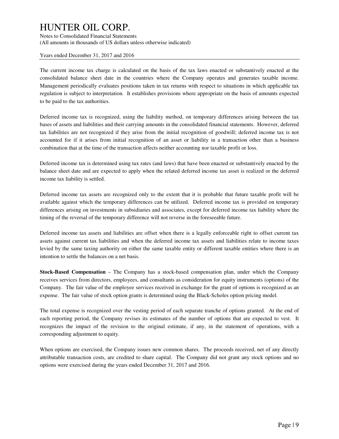Notes to Consolidated Financial Statements (All amounts in thousands of US dollars unless otherwise indicated)

Years ended December 31, 2017 and 2016

The current income tax charge is calculated on the basis of the tax laws enacted or substantively enacted at the consolidated balance sheet date in the countries where the Company operates and generates taxable income. Management periodically evaluates positions taken in tax returns with respect to situations in which applicable tax regulation is subject to interpretation. It establishes provisions where appropriate on the basis of amounts expected to be paid to the tax authorities.

Deferred income tax is recognized, using the liability method, on temporary differences arising between the tax bases of assets and liabilities and their carrying amounts in the consolidated financial statements. However, deferred tax liabilities are not recognized if they arise from the initial recognition of goodwill; deferred income tax is not accounted for if it arises from initial recognition of an asset or liability in a transaction other than a business combination that at the time of the transaction affects neither accounting nor taxable profit or loss.

Deferred income tax is determined using tax rates (and laws) that have been enacted or substantively enacted by the balance sheet date and are expected to apply when the related deferred income tax asset is realized or the deferred income tax liability is settled.

Deferred income tax assets are recognized only to the extent that it is probable that future taxable profit will be available against which the temporary differences can be utilized. Deferred income tax is provided on temporary differences arising on investments in subsidiaries and associates, except for deferred income tax liability where the timing of the reversal of the temporary difference will not reverse in the foreseeable future.

Deferred income tax assets and liabilities are offset when there is a legally enforceable right to offset current tax assets against current tax liabilities and when the deferred income tax assets and liabilities relate to income taxes levied by the same taxing authority on either the same taxable entity or different taxable entities where there is an intention to settle the balances on a net basis.

**Stock-Based Compensation** – The Company has a stock-based compensation plan, under which the Company receives services from directors, employees, and consultants as consideration for equity instruments (options) of the Company. The fair value of the employee services received in exchange for the grant of options is recognized as an expense. The fair value of stock option grants is determined using the Black-Scholes option pricing model.

The total expense is recognized over the vesting period of each separate tranche of options granted. At the end of each reporting period, the Company revises its estimates of the number of options that are expected to vest. It recognizes the impact of the revision to the original estimate, if any, in the statement of operations, with a corresponding adjustment to equity.

When options are exercised, the Company issues new common shares. The proceeds received, net of any directly attributable transaction costs, are credited to share capital. The Company did not grant any stock options and no options were exercised during the years ended December 31, 2017 and 2016.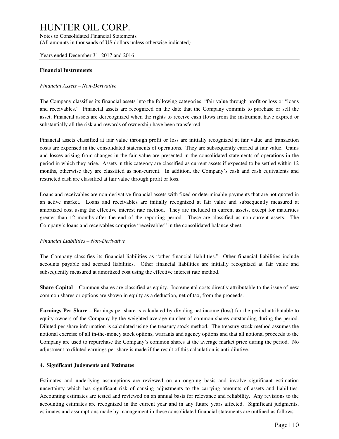Notes to Consolidated Financial Statements (All amounts in thousands of US dollars unless otherwise indicated)

Years ended December 31, 2017 and 2016

#### **Financial Instruments**

#### *Financial Assets – Non-Derivative*

The Company classifies its financial assets into the following categories: "fair value through profit or loss or "loans and receivables." Financial assets are recognized on the date that the Company commits to purchase or sell the asset. Financial assets are derecognized when the rights to receive cash flows from the instrument have expired or substantially all the risk and rewards of ownership have been transferred.

Financial assets classified at fair value through profit or loss are initially recognized at fair value and transaction costs are expensed in the consolidated statements of operations. They are subsequently carried at fair value. Gains and losses arising from changes in the fair value are presented in the consolidated statements of operations in the period in which they arise. Assets in this category are classified as current assets if expected to be settled within 12 months, otherwise they are classified as non-current. In addition, the Company's cash and cash equivalents and restricted cash are classified at fair value through profit or loss.

Loans and receivables are non-derivative financial assets with fixed or determinable payments that are not quoted in an active market. Loans and receivables are initially recognized at fair value and subsequently measured at amortized cost using the effective interest rate method. They are included in current assets, except for maturities greater than 12 months after the end of the reporting period. These are classified as non-current assets. The Company's loans and receivables comprise "receivables" in the consolidated balance sheet.

#### *Financial Liabilities – Non-Derivative*

The Company classifies its financial liabilities as "other financial liabilities." Other financial liabilities include accounts payable and accrued liabilities. Other financial liabilities are initially recognized at fair value and subsequently measured at amortized cost using the effective interest rate method.

**Share Capital** – Common shares are classified as equity. Incremental costs directly attributable to the issue of new common shares or options are shown in equity as a deduction, net of tax, from the proceeds.

**Earnings Per Share** *–* Earnings per share is calculated by dividing net income (loss) for the period attributable to equity owners of the Company by the weighted average number of common shares outstanding during the period. Diluted per share information is calculated using the treasury stock method. The treasury stock method assumes the notional exercise of all in-the-money stock options, warrants and agency options and that all notional proceeds to the Company are used to repurchase the Company's common shares at the average market price during the period. No adjustment to diluted earnings per share is made if the result of this calculation is anti-dilutive.

#### **4. Significant Judgments and Estimates**

Estimates and underlying assumptions are reviewed on an ongoing basis and involve significant estimation uncertainty which has significant risk of causing adjustments to the carrying amounts of assets and liabilities. Accounting estimates are tested and reviewed on an annual basis for relevance and reliability. Any revisions to the accounting estimates are recognized in the current year and in any future years affected. Significant judgments, estimates and assumptions made by management in these consolidated financial statements are outlined as follows: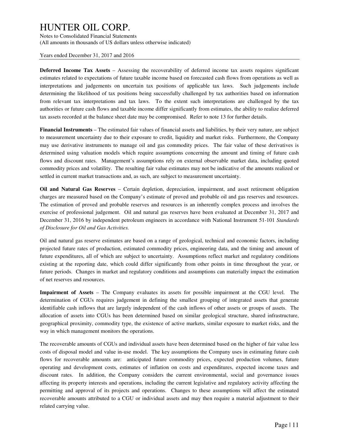Notes to Consolidated Financial Statements (All amounts in thousands of US dollars unless otherwise indicated)

Years ended December 31, 2017 and 2016

**Deferred Income Tax Assets** – Assessing the recoverability of deferred income tax assets requires significant estimates related to expectations of future taxable income based on forecasted cash flows from operations as well as interpretations and judgements on uncertain tax positions of applicable tax laws. Such judgements include determining the likelihood of tax positions being successfully challenged by tax authorities based on information from relevant tax interpretations and tax laws. To the extent such interpretations are challenged by the tax authorities or future cash flows and taxable income differ significantly from estimates, the ability to realize deferred tax assets recorded at the balance sheet date may be compromised. Refer to note 13 for further details.

**Financial Instruments** – The estimated fair values of financial assets and liabilities, by their very nature, are subject to measurement uncertainty due to their exposure to credit, liquidity and market risks. Furthermore, the Company may use derivative instruments to manage oil and gas commodity prices. The fair value of these derivatives is determined using valuation models which require assumptions concerning the amount and timing of future cash flows and discount rates. Management's assumptions rely on external observable market data, including quoted commodity prices and volatility. The resulting fair value estimates may not be indicative of the amounts realized or settled in current market transactions and, as such, are subject to measurement uncertainty.

**Oil and Natural Gas Reserves** – Certain depletion, depreciation, impairment, and asset retirement obligation charges are measured based on the Company's estimate of proved and probable oil and gas reserves and resources. The estimation of proved and probable reserves and resources is an inherently complex process and involves the exercise of professional judgement. Oil and natural gas reserves have been evaluated at December 31, 2017 and December 31, 2016 by independent petroleum engineers in accordance with National Instrument 51-101 *Standards of Disclosure for Oil and Gas Activities.*

Oil and natural gas reserve estimates are based on a range of geological, technical and economic factors, including projected future rates of production, estimated commodity prices, engineering data, and the timing and amount of future expenditures, all of which are subject to uncertainty. Assumptions reflect market and regulatory conditions existing at the reporting date, which could differ significantly from other points in time throughout the year, or future periods. Changes in market and regulatory conditions and assumptions can materially impact the estimation of net reserves and resources.

**Impairment of Assets** – The Company evaluates its assets for possible impairment at the CGU level. The determination of CGUs requires judgement in defining the smallest grouping of integrated assets that generate identifiable cash inflows that are largely independent of the cash inflows of other assets or groups of assets. The allocation of assets into CGUs has been determined based on similar geological structure, shared infrastructure, geographical proximity, commodity type, the existence of active markets, similar exposure to market risks, and the way in which management monitors the operations.

The recoverable amounts of CGUs and individual assets have been determined based on the higher of fair value less costs of disposal model and value in-use model. The key assumptions the Company uses in estimating future cash flows for recoverable amounts are: anticipated future commodity prices, expected production volumes, future operating and development costs, estimates of inflation on costs and expenditures, expected income taxes and discount rates. In addition, the Company considers the current environmental, social and governance issues affecting its property interests and operations, including the current legislative and regulatory activity affecting the permitting and approval of its projects and operations. Changes to these assumptions will affect the estimated recoverable amounts attributed to a CGU or individual assets and may then require a material adjustment to their related carrying value.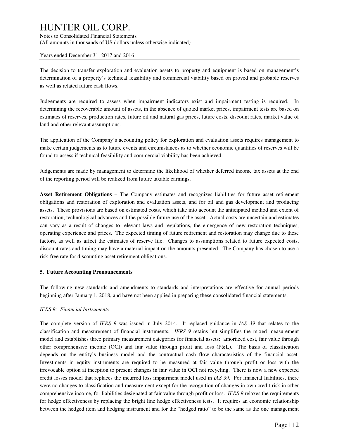Notes to Consolidated Financial Statements (All amounts in thousands of US dollars unless otherwise indicated)

Years ended December 31, 2017 and 2016

The decision to transfer exploration and evaluation assets to property and equipment is based on management's determination of a property's technical feasibility and commercial viability based on proved and probable reserves as well as related future cash flows.

Judgements are required to assess when impairment indicators exist and impairment testing is required. In determining the recoverable amount of assets, in the absence of quoted market prices, impairment tests are based on estimates of reserves, production rates, future oil and natural gas prices, future costs, discount rates, market value of land and other relevant assumptions.

The application of the Company's accounting policy for exploration and evaluation assets requires management to make certain judgements as to future events and circumstances as to whether economic quantities of reserves will be found to assess if technical feasibility and commercial viability has been achieved.

Judgements are made by management to determine the likelihood of whether deferred income tax assets at the end of the reporting period will be realized from future taxable earnings.

**Asset Retirement Obligations –** The Company estimates and recognizes liabilities for future asset retirement obligations and restoration of exploration and evaluation assets, and for oil and gas development and producing assets. These provisions are based on estimated costs, which take into account the anticipated method and extent of restoration, technological advances and the possible future use of the asset. Actual costs are uncertain and estimates can vary as a result of changes to relevant laws and regulations, the emergence of new restoration techniques, operating experience and prices. The expected timing of future retirement and restoration may change due to these factors, as well as affect the estimates of reserve life. Changes to assumptions related to future expected costs, discount rates and timing may have a material impact on the amounts presented. The Company has chosen to use a risk-free rate for discounting asset retirement obligations.

#### **5. Future Accounting Pronouncements**

The following new standards and amendments to standards and interpretations are effective for annual periods beginning after January 1, 2018, and have not been applied in preparing these consolidated financial statements.

#### *IFRS 9: Financial Instruments*

The complete version of *IFRS 9* was issued in July 2014. It replaced guidance in *IAS 39* that relates to the classification and measurement of financial instruments. *IFRS 9* retains but simplifies the mixed measurement model and establishes three primary measurement categories for financial assets: amortized cost, fair value through other comprehensive income (OCI) and fair value through profit and loss (P&L). The basis of classification depends on the entity's business model and the contractual cash flow characteristics of the financial asset. Investments in equity instruments are required to be measured at fair value through profit or loss with the irrevocable option at inception to present changes in fair value in OCI not recycling. There is now a new expected credit losses model that replaces the incurred loss impairment model used in *IAS 39*. For financial liabilities, there were no changes to classification and measurement except for the recognition of changes in own credit risk in other comprehensive income, for liabilities designated at fair value through profit or loss. *IFRS 9* relaxes the requirements for hedge effectiveness by replacing the bright line hedge effectiveness tests. It requires an economic relationship between the hedged item and hedging instrument and for the "hedged ratio" to be the same as the one management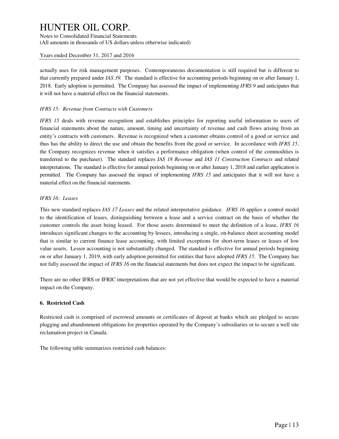Notes to Consolidated Financial Statements (All amounts in thousands of US dollars unless otherwise indicated)

Years ended December 31, 2017 and 2016

actually uses for risk management purposes. Contemporaneous documentation is still required but is different to that currently prepared under *IAS 39.* The standard is effective for accounting periods beginning on or after January 1, 2018. Early adoption is permitted. The Company has assessed the impact of implementing *IFRS 9* and anticipates that it will not have a material effect on the financial statements.

### *IFRS 15: Revenue from Contracts with Customers*

*IFRS 15* deals with revenue recognition and establishes principles for reporting useful information to users of financial statements about the nature, amount, timing and uncertainty of revenue and cash flows arising from an entity's contracts with customers. Revenue is recognized when a customer obtains control of a good or service and thus has the ability to direct the use and obtain the benefits from the good or service. In accordance with *IFRS 15*, the Company recognizes revenue when it satisfies a performance obligation (when control of the commodities is transferred to the purchaser). The standard replaces *IAS 18 Revenue* and *IAS 11 Construction Contracts* and related interpretations. The standard is effective for annual periods beginning on or after January 1, 2018 and earlier application is permitted. The Company has assessed the impact of implementing *IFRS 15* and anticipates that it will not have a material effect on the financial statements.

### *IFRS 16: Leases*

This new standard replaces *IAS 17 Leases* and the related interpretative guidance. *IFRS 16* applies a control model to the identification of leases, distinguishing between a lease and a service contract on the basis of whether the customer controls the asset being leased. For those assets determined to meet the definition of a lease, *IFRS 16* introduces significant changes to the accounting by lessees, introducing a single, on-balance sheet accounting model that is similar to current finance lease accounting, with limited exceptions for short-term leases or leases of low value assets. Lessor accounting is not substantially changed. The standard is effective for annual periods beginning on or after January 1, 2019, with early adoption permitted for entities that have adopted *IFRS 15*. The Company has not fully assessed the impact of *IFRS 16* on the financial statements but does not expect the impact to be significant.

There are no other IFRS or IFRIC interpretations that are not yet effective that would be expected to have a material impact on the Company.

#### **6. Restricted Cash**

Restricted cash is comprised of escrowed amounts or certificates of deposit at banks which are pledged to secure plugging and abandonment obligations for properties operated by the Company's subsidiaries or to secure a well site reclamation project in Canada.

The following table summarizes restricted cash balances: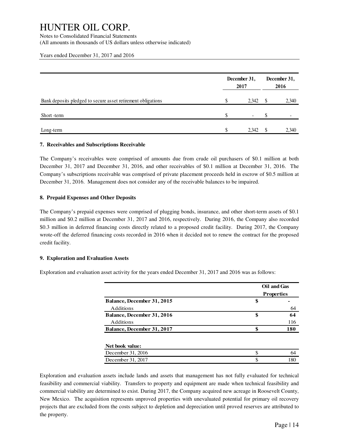Notes to Consolidated Financial Statements

(All amounts in thousands of US dollars unless otherwise indicated)

#### Years ended December 31, 2017 and 2016

|                                                              |   | December 31,<br>2017     |   | December 31,<br>2016 |  |  |
|--------------------------------------------------------------|---|--------------------------|---|----------------------|--|--|
| Bank deposits pledged to secure asset retirement obligations |   | 2.342                    | S | 2,340                |  |  |
| Short -term                                                  | S | $\overline{\phantom{a}}$ |   |                      |  |  |
| Long-term                                                    | S | 2.342                    |   | 2,340                |  |  |

#### **7. Receivables and Subscriptions Receivable**

The Company's receivables were comprised of amounts due from crude oil purchasers of \$0.1 million at both December 31, 2017 and December 31, 2016, and other receivables of \$0.1 million at December 31, 2016. The Company's subscriptions receivable was comprised of private placement proceeds held in escrow of \$0.5 million at December 31, 2016. Management does not consider any of the receivable balances to be impaired.

#### **8. Prepaid Expenses and Other Deposits**

The Company's prepaid expenses were comprised of plugging bonds, insurance, and other short-term assets of \$0.1 million and \$0.2 million at December 31, 2017 and 2016, respectively. During 2016, the Company also recorded \$0.3 million in deferred financing costs directly related to a proposed credit facility. During 2017, the Company wrote-off the deferred financing costs recorded in 2016 when it decided not to renew the contract for the proposed credit facility.

#### **9. Exploration and Evaluation Assets**

Exploration and evaluation asset activity for the years ended December 31, 2017 and 2016 was as follows:

|                            |    | Oil and Gas       |
|----------------------------|----|-------------------|
|                            |    | <b>Properties</b> |
| Balance, December 31, 2015 | \$ |                   |
| <b>Additions</b>           |    | 64                |
| Balance, December 31, 2016 | \$ | 64                |
| Additions                  |    | 116               |
| Balance, December 31, 2017 | \$ | 180               |
| Net book value:            |    |                   |
| December 31, 2016          | \$ | 64                |
| December 31, 2017          | S  | 180               |

Exploration and evaluation assets include lands and assets that management has not fully evaluated for technical feasibility and commercial viability. Transfers to property and equipment are made when technical feasibility and commercial viability are determined to exist. During 2017, the Company acquired new acreage in Roosevelt County, New Mexico. The acquisition represents unproved properties with unevaluated potential for primary oil recovery projects that are excluded from the costs subject to depletion and depreciation until proved reserves are attributed to the property.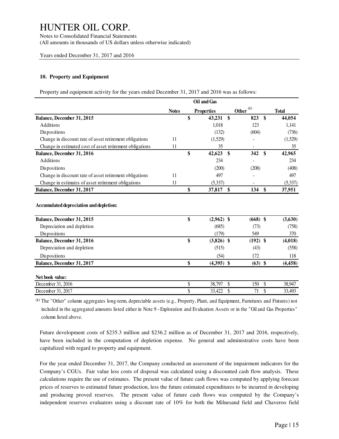Notes to Consolidated Financial Statements (All amounts in thousands of US dollars unless otherwise indicated)

Years ended December 31, 2017 and 2016

### **10. Property and Equipment**

Property and equipment activity for the years ended December 31, 2017 and 2016 was as follows:

|                                                          | Oil and Gas  |    |                   |               |                |    |              |
|----------------------------------------------------------|--------------|----|-------------------|---------------|----------------|----|--------------|
|                                                          | <b>Notes</b> |    | <b>Properties</b> |               | Other $^{(1)}$ |    | <b>Total</b> |
| Balance, December 31, 2015                               |              | \$ | 43,231            | $\mathbf{\$}$ | 823            | \$ | 44,054       |
| <b>Additions</b>                                         |              |    | 1,018             |               | 123            |    | 1,141        |
| Dispositions                                             |              |    | (132)             |               | (604)          |    | (736)        |
| Change in discount rate of asset retirement obligations  | 11           |    | (1,529)           |               |                |    | (1,529)      |
| Change in estimated cost of asset retirement obligations | 11           |    | 35                |               |                |    | 35           |
| Balance, December 31, 2016                               |              | \$ | 42,623            | \$            | 342            | \$ | 42,965       |
| <b>Additions</b>                                         |              |    | 234               |               |                |    | 234          |
| Dispositions                                             |              |    | (200)             |               | (208)          |    | (408)        |
| Change in discount rate of asset retirement obligations  | 11           |    | 497               |               |                |    | 497          |
| Change in estimates of asset retirement obligations      | 11           |    | (5,337)           |               |                |    | (5, 337)     |
| Balance, December 31, 2017                               |              | \$ | 37,817            | \$            | 134            | \$ | 37,951       |
| Accumulated depreciation and depletion:                  |              |    |                   |               |                |    |              |
| Balance, December 31, 2015                               |              | \$ | $(2,962)$ \$      |               | $(668)$ \$     |    | (3,630)      |
| Depreciation and depletion                               |              |    | (685)             |               | (73)           |    | (758)        |
| Dispositions                                             |              |    | (179)             |               | 549            |    | 370          |
| Balance, December 31, 2016                               |              | \$ | $(3,826)$ \$      |               | $(192)$ \$     |    | (4,018)      |
| Depreciation and depletion                               |              |    | (515)             |               | (43)           |    | (558)        |
| Dispositions                                             |              |    | (54)              |               | 172            |    | 118          |
| Balance, December 31, 2017                               |              | \$ | $(4,395)$ \$      |               | $(63)$ \$      |    | (4, 458)     |
| Net book value:                                          |              |    |                   |               |                |    |              |
| December 31, 2016                                        |              | \$ | 38,797            | $\mathcal{S}$ | 150            | \$ | 38,947       |
| December 31, 2017                                        |              | \$ | 33,422            | \$            | 71             | \$ | 33,493       |

**(1)** The "Other" column aggregates long-term, depreciable assets (e.g., Property, Plant, and Equipment, Furnitures and Fixtures) not included in the aggregated amounts listed either in Note 9 **-** Exploration and Evaluation Assets or in the "Oil and Gas Properties" column listed above.

Future development costs of \$235.3 million and \$236.2 million as of December 31, 2017 and 2016, respectively, have been included in the computation of depletion expense. No general and administrative costs have been capitalized with regard to property and equipment.

For the year ended December 31, 2017, the Company conducted an assessment of the impairment indicators for the Company's CGUs. Fair value less costs of disposal was calculated using a discounted cash flow analysis. These calculations require the use of estimates. The present value of future cash flows was computed by applying forecast prices of reserves to estimated future production, less the future estimated expenditures to be incurred in developing and producing proved reserves. The present value of future cash flows was computed by the Company's independent reserves evaluators using a discount rate of 10% for both the Milnesand field and Chaveroo field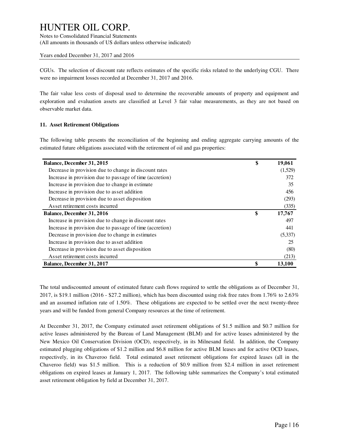Notes to Consolidated Financial Statements (All amounts in thousands of US dollars unless otherwise indicated)

#### Years ended December 31, 2017 and 2016

CGUs. The selection of discount rate reflects estimates of the specific risks related to the underlying CGU. There were no impairment losses recorded at December 31, 2017 and 2016.

The fair value less costs of disposal used to determine the recoverable amounts of property and equipment and exploration and evaluation assets are classified at Level 3 fair value measurements, as they are not based on observable market data.

#### **11. Asset Retirement Obligations**

The following table presents the reconciliation of the beginning and ending aggregate carrying amounts of the estimated future obligations associated with the retirement of oil and gas properties:

| Balance, December 31, 2015                               | \$<br>19,061 |
|----------------------------------------------------------|--------------|
| Decrease in provision due to change in discount rates    | (1,529)      |
| Increase in provision due to passage of time (accretion) | 372          |
| Increase in provision due to change in estimate          | 35           |
| Increase in provision due to asset addition              | 456          |
| Decrease in provision due to asset disposition           | (293)        |
| Asset retirement costs incurred                          | (335)        |
| Balance, December 31, 2016                               | \$<br>17,767 |
| Increase in provision due to change in discount rates    | 497          |
| Increase in provision due to passage of time (accretion) | 441          |
| Decrease in provision due to change in estimates         | (5,337)      |
| Increase in provision due to asset addition              | 25           |
| Decrease in provision due to asset disposition           | (80)         |
| Asset retirement costs incurred                          | (213)        |
| Balance, December 31, 2017                               | \$<br>13.100 |

The total undiscounted amount of estimated future cash flows required to settle the obligations as of December 31, 2017, is \$19.1 million (2016 - \$27.2 million), which has been discounted using risk free rates from 1.76% to 2.63% and an assumed inflation rate of 1.50%. These obligations are expected to be settled over the next twenty-three years and will be funded from general Company resources at the time of retirement.

At December 31, 2017, the Company estimated asset retirement obligations of \$1.5 million and \$0.7 million for active leases administered by the Bureau of Land Management (BLM) and for active leases administered by the New Mexico Oil Conservation Division (OCD), respectively, in its Milnesand field. In addition, the Company estimated plugging obligations of \$1.2 million and \$6.8 million for active BLM leases and for active OCD leases, respectively, in its Chaveroo field. Total estimated asset retirement obligations for expired leases (all in the Chaveroo field) was \$1.5 million. This is a reduction of \$0.9 million from \$2.4 million in asset retirement obligations on expired leases at January 1, 2017. The following table summarizes the Company's total estimated asset retirement obligation by field at December 31, 2017.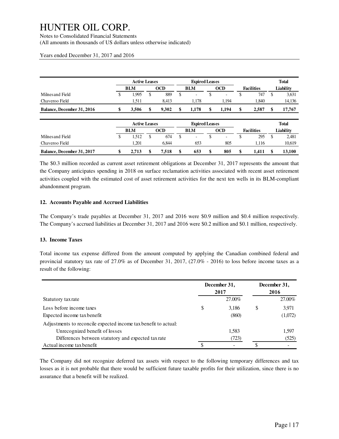Notes to Consolidated Financial Statements

(All amounts in thousands of US dollars unless otherwise indicated)

#### Years ended December 31, 2017 and 2016

|                            | <b>Active Leases</b> |   |       | <b>Expired Leases</b>    |  |                          |                   | Total     |
|----------------------------|----------------------|---|-------|--------------------------|--|--------------------------|-------------------|-----------|
|                            | <b>BLM</b>           |   | 0CD   | <b>BLM</b>               |  | OCD                      | <b>Facilities</b> | Liabilitv |
| Milnes and Field           | .995                 | œ | 889   | $\overline{\phantom{a}}$ |  | $\overline{\phantom{a}}$ | 747               | 3,631     |
| Chaveroo Field             | .511                 |   | 8.413 | .178                     |  | .194                     | .840              | 14.136    |
| Balance, December 31, 2016 | 3.506                |   | 9.302 | 1.178                    |  | 1.194                    | 2,587             | 17.767    |

|                            |            | <b>Active Leases</b> |       |  | <b>Expired Leases</b> |  |            |                   | <b>Total</b> |
|----------------------------|------------|----------------------|-------|--|-----------------------|--|------------|-------------------|--------------|
|                            | <b>BLM</b> |                      | OCD   |  | <b>BLM</b>            |  | <b>OCD</b> | <b>Facilities</b> | Liabilitv    |
| Milnes and Field           | .512       |                      | 674   |  | -                     |  | -          | 295               | 2,481        |
| Chaveroo Field             | .201       |                      | 6.844 |  | 653                   |  | 805        | 116               | 10,619       |
| Balance, December 31, 2017 | 2.713      |                      | 7.518 |  | 653                   |  | 805        | \$<br>1.411       | 13.100       |

The \$0.3 million recorded as current asset retirement obligations at December 31, 2017 represents the amount that the Company anticipates spending in 2018 on surface reclamation activities associated with recent asset retirement activities coupled with the estimated cost of asset retirement activities for the next ten wells in its BLM-compliant abandonment program.

#### **12. Accounts Payable and Accrued Liabilities**

The Company's trade payables at December 31, 2017 and 2016 were \$0.9 million and \$0.4 million respectively. The Company's accrued liabilities at December 31, 2017 and 2016 were \$0.2 million and \$0.1 million, respectively.

#### **13. Income Taxes**

Total income tax expense differed from the amount computed by applying the Canadian combined federal and provincial statutory tax rate of 27.0% as of December 31, 2017, (27.0% - 2016) to loss before income taxes as a result of the following:

|                                                                 |   | December 31,<br>2017 |   | December 31,<br>2016 |  |  |
|-----------------------------------------------------------------|---|----------------------|---|----------------------|--|--|
| Statutory tax rate                                              |   | 27.00%               |   | 27.00%               |  |  |
| Loss before income taxes                                        | S | 3.186                | S | 3,971                |  |  |
| Expected income tax benefit                                     |   | (860)                |   | (1,072)              |  |  |
| Adjustments to reconcile expected income tax benefit to actual: |   |                      |   |                      |  |  |
| Unrecognized benefit of losses                                  |   | 1,583                |   | 1.597                |  |  |
| Differences between statutory and expected tax rate             |   | (723)                |   | (525)                |  |  |
| Actual income tax benefit                                       |   |                      |   |                      |  |  |

The Company did not recognize deferred tax assets with respect to the following temporary differences and tax losses as it is not probable that there would be sufficient future taxable profits for their utilization, since there is no assurance that a benefit will be realized.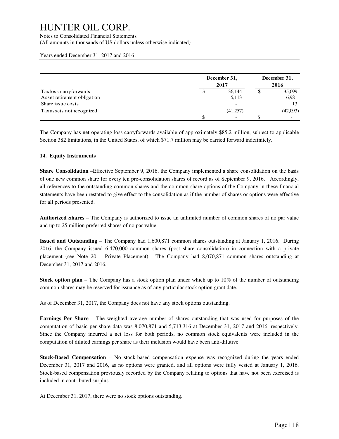Notes to Consolidated Financial Statements

(All amounts in thousands of US dollars unless otherwise indicated)

Years ended December 31, 2017 and 2016

|                             | December 31,<br>2017 |  | December 31,<br>2016 |  |
|-----------------------------|----------------------|--|----------------------|--|
| Tax loss carry forwards     | 36,144               |  | 35,099               |  |
| Asset retirement obligation | 5,113                |  | 6,981                |  |
| Share issue costs           |                      |  |                      |  |
| Tax assets not recognized   | (41,257)             |  | (42,093)             |  |
|                             |                      |  |                      |  |

The Company has net operating loss carryforwards available of approximately \$85.2 million, subject to applicable Section 382 limitations, in the United States, of which \$71.7 million may be carried forward indefinitely.

#### **14. Equity Instruments**

**Share Consolidation** –Effective September 9, 2016, the Company implemented a share consolidation on the basis of one new common share for every ten pre-consolidation shares of record as of September 9, 2016. Accordingly, all references to the outstanding common shares and the common share options of the Company in these financial statements have been restated to give effect to the consolidation as if the number of shares or options were effective for all periods presented.

**Authorized Shares** – The Company is authorized to issue an unlimited number of common shares of no par value and up to 25 million preferred shares of no par value.

**Issued and Outstanding** – The Company had 1,600,871 common shares outstanding at January 1, 2016. During 2016, the Company issued 6,470,000 common shares (post share consolidation) in connection with a private placement (see Note 20 – Private Placement). The Company had 8,070,871 common shares outstanding at December 31, 2017 and 2016.

**Stock option plan** – The Company has a stock option plan under which up to 10% of the number of outstanding common shares may be reserved for issuance as of any particular stock option grant date.

As of December 31, 2017, the Company does not have any stock options outstanding.

**Earnings Per Share** – The weighted average number of shares outstanding that was used for purposes of the computation of basic per share data was 8,070,871 and 5,713,316 at December 31, 2017 and 2016, respectively. Since the Company incurred a net loss for both periods, no common stock equivalents were included in the computation of diluted earnings per share as their inclusion would have been anti-dilutive.

**Stock-Based Compensation** – No stock-based compensation expense was recognized during the years ended December 31, 2017 and 2016, as no options were granted, and all options were fully vested at January 1, 2016. Stock-based compensation previously recorded by the Company relating to options that have not been exercised is included in contributed surplus.

At December 31, 2017, there were no stock options outstanding.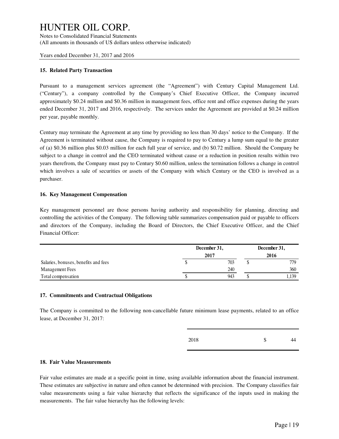Notes to Consolidated Financial Statements (All amounts in thousands of US dollars unless otherwise indicated)

Years ended December 31, 2017 and 2016

#### **15. Related Party Transaction**

Pursuant to a management services agreement (the "Agreement") with Century Capital Management Ltd. ("Century"), a company controlled by the Company's Chief Executive Officer, the Company incurred approximately \$0.24 million and \$0.36 million in management fees, office rent and office expenses during the years ended December 31, 2017 and 2016, respectively. The services under the Agreement are provided at \$0.24 million per year, payable monthly.

Century may terminate the Agreement at any time by providing no less than 30 days' notice to the Company. If the Agreement is terminated without cause, the Company is required to pay to Century a lump sum equal to the greater of (a) \$0.36 million plus \$0.03 million for each full year of service, and (b) \$0.72 million. Should the Company be subject to a change in control and the CEO terminated without cause or a reduction in position results within two years therefrom, the Company must pay to Century \$0.60 million, unless the termination follows a change in control which involves a sale of securities or assets of the Company with which Century or the CEO is involved as a purchaser.

#### **16. Key Management Compensation**

Key management personnel are those persons having authority and responsibility for planning, directing and controlling the activities of the Company. The following table summarizes compensation paid or payable to officers and directors of the Company, including the Board of Directors, the Chief Executive Officer, and the Chief Financial Officer:

|                                      | December 31,<br>2017 |     | December 31, |       |  |
|--------------------------------------|----------------------|-----|--------------|-------|--|
| Salaries, bonuses, benefits and fees |                      |     | 2016         |       |  |
|                                      |                      | 703 |              | 77C   |  |
| Management Fees                      |                      | 240 |              | 360   |  |
| Total compensation                   |                      | 943 |              | 1,139 |  |

#### **17. Commitments and Contractual Obligations**

The Company is committed to the following non-cancellable future minimum lease payments, related to an office lease, at December 31, 2017:

| 2018 | ¢<br>Φ | 44 |
|------|--------|----|
|      |        |    |

#### **18. Fair Value Measurements**

Fair value estimates are made at a specific point in time, using available information about the financial instrument. These estimates are subjective in nature and often cannot be determined with precision. The Company classifies fair value measurements using a fair value hierarchy that reflects the significance of the inputs used in making the measurements. The fair value hierarchy has the following levels: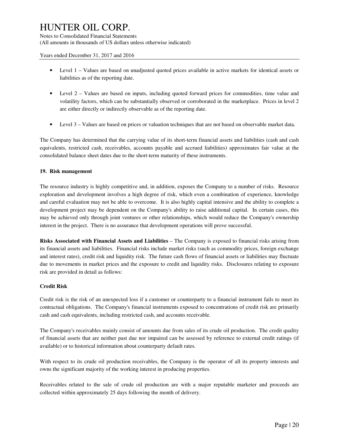Notes to Consolidated Financial Statements (All amounts in thousands of US dollars unless otherwise indicated)

Years ended December 31, 2017 and 2016

- Level 1 Values are based on unadjusted quoted prices available in active markets for identical assets or liabilities as of the reporting date.
- Level 2 Values are based on inputs, including quoted forward prices for commodities, time value and volatility factors, which can be substantially observed or corroborated in the marketplace. Prices in level 2 are either directly or indirectly observable as of the reporting date.
- Level 3 Values are based on prices or valuation techniques that are not based on observable market data.

The Company has determined that the carrying value of its short-term financial assets and liabilities (cash and cash equivalents, restricted cash, receivables, accounts payable and accrued liabilities) approximates fair value at the consolidated balance sheet dates due to the short-term maturity of these instruments.

### **19. Risk management**

The resource industry is highly competitive and, in addition, exposes the Company to a number of risks. Resource exploration and development involves a high degree of risk, which even a combination of experience, knowledge and careful evaluation may not be able to overcome. It is also highly capital intensive and the ability to complete a development project may be dependent on the Company's ability to raise additional capital. In certain cases, this may be achieved only through joint ventures or other relationships, which would reduce the Company's ownership interest in the project. There is no assurance that development operations will prove successful.

**Risks Associated with Financial Assets and Liabilities** – The Company is exposed to financial risks arising from its financial assets and liabilities. Financial risks include market risks (such as commodity prices, foreign exchange and interest rates), credit risk and liquidity risk. The future cash flows of financial assets or liabilities may fluctuate due to movements in market prices and the exposure to credit and liquidity risks. Disclosures relating to exposure risk are provided in detail as follows:

### **Credit Risk**

Credit risk is the risk of an unexpected loss if a customer or counterparty to a financial instrument fails to meet its contractual obligations. The Company's financial instruments exposed to concentrations of credit risk are primarily cash and cash equivalents, including restricted cash, and accounts receivable.

The Company's receivables mainly consist of amounts due from sales of its crude oil production. The credit quality of financial assets that are neither past due nor impaired can be assessed by reference to external credit ratings (if available) or to historical information about counterparty default rates.

With respect to its crude oil production receivables, the Company is the operator of all its property interests and owns the significant majority of the working interest in producing properties.

Receivables related to the sale of crude oil production are with a major reputable marketer and proceeds are collected within approximately 25 days following the month of delivery.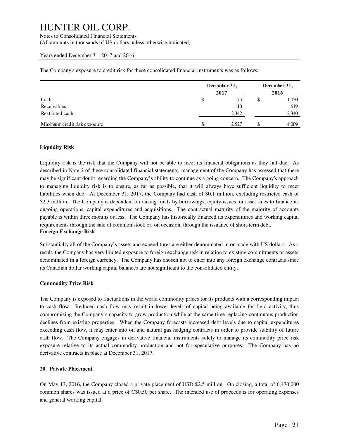Notes to Consolidated Financial Statements (All amounts in thousands of US dollars unless otherwise indicated)

#### Years ended December 31, 2017 and 2016

The Company's exposure to credit risk for these consolidated financial instruments was as follows:

|                              | December 31,<br>2017 |       | December 31,<br>2016 |       |
|------------------------------|----------------------|-------|----------------------|-------|
| Cash                         | S                    | 75    |                      | 1,050 |
| Receivables                  |                      | 110   |                      | 619   |
| Restricted cash              |                      | 2,342 |                      | 2,340 |
| Maximum credit risk exposure | S                    | 2.527 |                      | 4,009 |

#### **Liquidity Risk**

Liquidity risk is the risk that the Company will not be able to meet its financial obligations as they fall due. As described in Note 2 of these consolidated financial statements, management of the Company has assessed that there may be significant doubt regarding the Company's ability to continue as a going concern. The Company's approach to managing liquidity risk is to ensure, as far as possible, that it will always have sufficient liquidity to meet liabilities when due. At December 31, 2017, the Company had cash of \$0.1 million, excluding restricted cash of \$2.3 million. The Company is dependent on raising funds by borrowings, equity issues, or asset sales to finance its ongoing operations, capital expenditures and acquisitions. The contractual maturity of the majority of accounts payable is within three months or less. The Company has historically financed its expenditures and working capital requirements through the sale of common stock or, on occasion, through the issuance of short-term debt. **Foreign Exchange Risk** 

Substantially all of the Company's assets and expenditures are either denominated in or made with US dollars. As a result, the Company has very limited exposure to foreign exchange risk in relation to existing commitments or assets denominated in a foreign currency. The Company has chosen not to enter into any foreign exchange contracts since its Canadian dollar working capital balances are not significant to the consolidated entity.

#### **Commodity Price Risk**

The Company is exposed to fluctuations in the world commodity prices for its products with a corresponding impact to cash flow. Reduced cash flow may result in lower levels of capital being available for field activity, thus compromising the Company's capacity to grow production while at the same time replacing continuous production declines from existing properties. When the Company forecasts increased debt levels due to capital expenditures exceeding cash flow, it may enter into oil and natural gas hedging contracts in order to provide stability of future cash flow. The Company engages in derivative financial instruments solely to manage its commodity price risk exposure relative to its actual commodity production and not for speculative purposes. The Company has no derivative contracts in place at December 31, 2017.

### **20. Private Placement**

On May 13, 2016, the Company closed a private placement of USD \$2.5 million. On closing, a total of 6,470,000 common shares was issued at a price of C\$0.50 per share. The intended use of proceeds is for operating expenses and general working capital.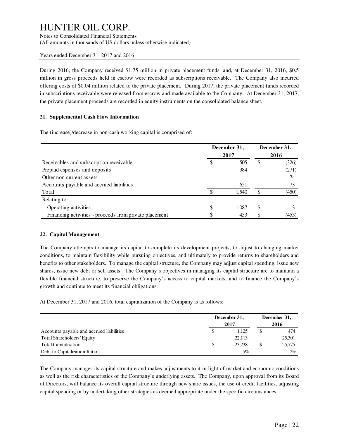Notes to Consolidated Financial Statements (All amounts in thousands of US dollars unless otherwise indicated)

Years ended December 31, 2017 and 2016

During 2016, the Company received \$1.75 million in private placement funds, and, at December 31, 2016, \$0.5 million in gross proceeds held in escrow were recorded as subscriptions receivable. The Company also incurred offering costs of \$0.04 million related to the private placement. During 2017, the private placement funds recorded in subscriptions receivable were released from escrow and made available to the Company. At December 31, 2017, the private placement proceeds are recorded in equity instruments on the consolidated balance sheet.

### **21. Supplemental Cash Flow Information**

The (increase)/decrease in non-cash working capital is comprised of:

|                                                        | December 31,<br>2017 |       | December 31,<br>2016 |       |
|--------------------------------------------------------|----------------------|-------|----------------------|-------|
|                                                        |                      |       |                      |       |
| Receivables and subscription receivable                |                      | 505   | S                    | (326) |
| Prepaid expenses and deposits                          |                      | 384   |                      | (271) |
| Other non current assets                               |                      |       |                      | 74    |
| Accounts payable and accrued liabilities               |                      | 651   |                      | 73    |
| Total                                                  |                      | 1.540 |                      | (450) |
| Relating to:                                           |                      |       |                      |       |
| Operating activities                                   | \$                   | 1.087 | \$                   |       |
| Financing activities - proceeds from private placement |                      | 453   |                      | (453) |

#### **22. Capital Management**

The Company attempts to manage its capital to complete its development projects, to adjust to changing market conditions, to maintain flexibility while pursuing objectives, and ultimately to provide returns to shareholders and benefits to other stakeholders. To manage the capital structure, the Company may adjust capital spending, issue new shares, issue new debt or sell assets. The Company's objectives in managing its capital structure are to maintain a flexible financial structure, to preserve the Company's access to capital markets, and to finance the Company's growth and continue to meet its financial obligations.

At December 31, 2017 and 2016, total capitalization of the Company is as follows:

|                                          |    | December 31,<br>2017 |  | December 31,<br>2016 |  |
|------------------------------------------|----|----------------------|--|----------------------|--|
|                                          |    |                      |  |                      |  |
| Accounts payable and accrued liabilities |    | 1.125                |  | 474                  |  |
| <b>Total Shareholders' Equity</b>        |    | 22.113               |  | 25,301               |  |
| <b>Total Capitalization</b>              | J, | 23.238               |  | 25,775               |  |
| Debt to Capitalization Ratio             |    | 5%                   |  | $2\%$                |  |

The Company manages its capital structure and makes adjustments to it in light of market and economic conditions as well as the risk characteristics of the Company's underlying assets. The Company, upon approval from its Board of Directors, will balance its overall capital structure through new share issues, the use of credit facilities, adjusting capital spending or by undertaking other strategies as deemed appropriate under the specific circumstances.